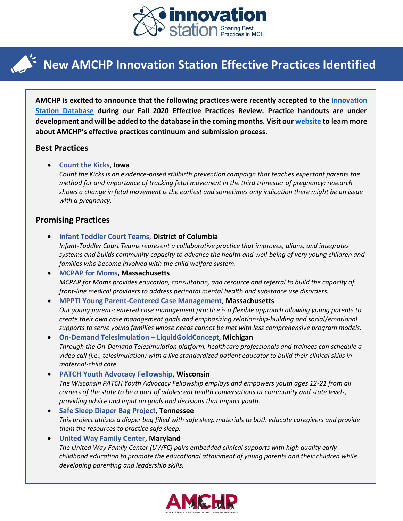

## **New AMCHP Innovation Station Effective Practices Identified**

**AMCHP is excited to announce that the following practices were recently accepted to the [Innovation](http://www.amchp.org/programsandtopics/BestPractices/InnovationStation/Pages/IS-BP-Search.aspx)  [Station Database](http://www.amchp.org/programsandtopics/BestPractices/InnovationStation/Pages/IS-BP-Search.aspx) during our Fall 2020 Effective Practices Review. Practice handouts are under development and will be added to the database in the coming months. Visit our [website](http://www.amchpinnovation.org/) to learn more about AMCHP's effective practices continuum and submission process.**

### **Best Practices**

• **Count the Kicks**, **Iowa**

*Count the Kicks is an evidence-based stillbirth prevention campaign that teaches expectant parents the method for and importance of tracking fetal movement in the third trimester of pregnancy; research shows a change in fetal movement is the earliest and sometimes only indication there might be an issue with a pregnancy.*

### **Promising Practices**

- **Infant Toddler Court Teams**, **District of Columbia** *Infant-Toddler Court Teams represent a collaborative practice that improves, aligns, and integrates systems and builds community capacity to advance the health and well-being of very young children and families who become involved with the child welfare system.*
- **MCPAP for Moms, Massachusetts** *MCPAP for Moms provides education, consultation, and resource and referral to build the capacity of front-line medical providers to address perinatal mental health and substance use disorders.*

#### • **MPPTI Young Parent-Centered Case Management**, **Massachusetts**

*Our young parent-centered case management practice is a flexible approach allowing young parents to create their own case management goals and emphasizing relationship-building and social/emotional supports to serve young families whose needs cannot be met with less comprehensive program models.*

- **On-Demand Telesimulation – LiquidGoldConcept**, **Michigan**  *Through the On-Demand Telesimulation platform, healthcare professionals and trainees can schedule a video call (i.e., telesimulation) with a live standardized patient educator to build their clinical skills in maternal-child care.*
- **PATCH Youth Advocacy Fellowship**, **Wisconsin** *The Wisconsin PATCH Youth Advocacy Fellowship employs and empowers youth ages 12-21 from all corners of the state to be a part of adolescent health conversations at community and state levels, providing advice and input on goals and decisions that impact youth.*
- **Safe Sleep Diaper Bag Project**, **Tennessee** *This project utilizes a diaper bag filled with safe sleep materials to both educate caregivers and provide them the resources to practice safe sleep.*

# • **United Way Family Center**, **Maryland**

*The United Way Family Center (UWFC) pairs embedded clinical supports with high quality early childhood education to promote the educational attainment of young parents and their children while developing parenting and leadership skills.*

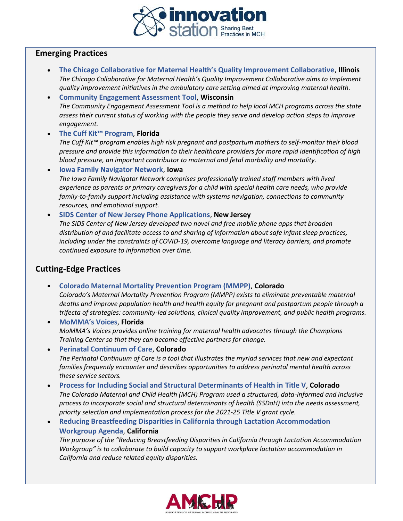

### **Emerging Practices**

- **The Chicago Collaborative for Maternal Health's Quality Improvement Collaborative**, **Illinois** *The Chicago Collaborative for Maternal Health's Quality Improvement Collaborative aims to implement quality improvement initiatives in the ambulatory care setting aimed at improving maternal health.*
- **Community Engagement Assessment Tool**, **Wisconsin** *The Community Engagement Assessment Tool is a method to help local MCH programs across the state assess their current status of working with the people they serve and develop action steps to improve engagement.*
- **The Cuff Kit™ Program**, **Florida**

*The Cuff Kit™ program enables high risk pregnant and postpartum mothers to self-monitor their blood pressure and provide this information to their healthcare providers for more rapid identification of high blood pressure, an important contributor to maternal and fetal morbidity and mortality.*

• **Iowa Family Navigator Network**, **Iowa** *The Iowa Family Navigator Network comprises professionally trained staff members with lived experience as parents or primary caregivers for a child with special health care needs, who provide family-to-family support including assistance with systems navigation, connections to community resources, and emotional support.*

• **SIDS Center of New Jersey Phone Applications**, **New Jersey**

*The SIDS Center of New Jersey developed two novel and free mobile phone apps that broaden distribution of and facilitate access to and sharing of information about safe infant sleep practices, including under the constraints of COVID-19, overcome language and literacy barriers, and promote continued exposure to information over time.*

### **Cutting-Edge Practices**

• **Colorado Maternal Mortality Prevention Program (MMPP)**, **Colorado**

*Colorado's Maternal Mortality Prevention Program (MMPP) exists to eliminate preventable maternal deaths and improve population health and health equity for pregnant and postpartum people through a trifecta of strategies: community-led solutions, clinical quality improvement, and public health programs.*

• **MoMMA's Voices**, **Florida** *MoMMA's Voices provides online training for maternal health advocates through the Champions Training Center so that they can become effective partners for change.*

• **Perinatal Continuum of Care**, **Colorado** *The Perinatal Continuum of Care is a tool that illustrates the myriad services that new and expectant families frequently encounter and describes opportunities to address perinatal mental health across these service sectors.*

• **Process for Including Social and Structural Determinants of Health in Title V**, **Colorado** *The Colorado Maternal and Child Health (MCH) Program used a structured, data-informed and inclusive process to incorporate social and structural determinants of health (SSDoH) into the needs assessment, priority selection and implementation process for the 2021-25 Title V grant cycle.*

• **Reducing Breastfeeding Disparities in California through Lactation Accommodation Workgroup Agenda**, **California** *The purpose of the "Reducing Breastfeeding Disparities in California through Lactation Accommodation Workgroup" is to collaborate to build capacity to support workplace lactation accommodation in California and reduce related equity disparities.*